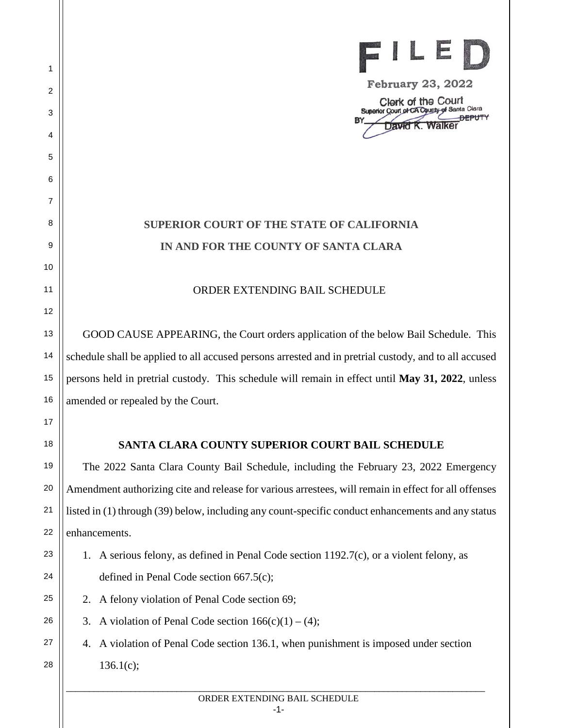

**February 23, 2022**

Clerk of the Court Superior Court of CA County of Santa Clara **DEPUTY**  $RV$ Walker

## **SUPERIOR COURT OF THE STATE OF CALIFORNIA IN AND FOR THE COUNTY OF SANTA CLARA**

## ORDER EXTENDING BAIL SCHEDULE

GOOD CAUSE APPEARING, the Court orders application of the below Bail Schedule. This schedule shall be applied to all accused persons arrested and in pretrial custody, and to all accused persons held in pretrial custody. This schedule will remain in effect until **May 31, 2022**, unless amended or repealed by the Court.

## **SANTA CLARA COUNTY SUPERIOR COURT BAIL SCHEDULE**

The 2022 Santa Clara County Bail Schedule, including the February 23, 2022 Emergency Amendment authorizing cite and release for various arrestees, will remain in effect for all offenses listed in (1) through (39) below, including any count-specific conduct enhancements and any status enhancements.

- 1. A serious felony, as defined in Penal Code section 1192.7(c), or a violent felony, as defined in Penal Code section 667.5(c);
- 2. A felony violation of Penal Code section 69;

1

2

3

4

5

6

7

8

9

10

11

12

13

14

15

16

17

18

19

20

21

22

23

24

25

26

27

28

3. A violation of Penal Code section  $166(c)(1) - (4)$ ;

4. A violation of Penal Code section 136.1, when punishment is imposed under section 136.1(c);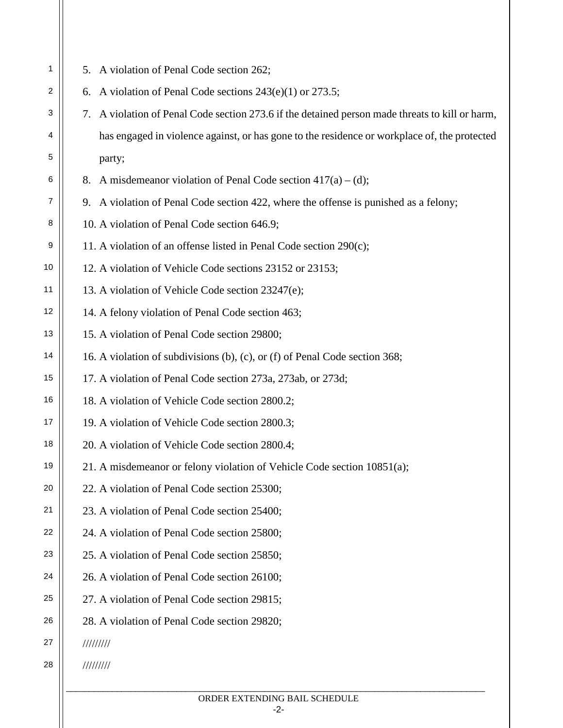| 1              | A violation of Penal Code section 262;<br>5.                                                       |
|----------------|----------------------------------------------------------------------------------------------------|
| $\overline{c}$ | A violation of Penal Code sections $243(e)(1)$ or $273.5$ ;<br>6.                                  |
| 3              | A violation of Penal Code section 273.6 if the detained person made threats to kill or harm,<br>7. |
| 4              | has engaged in violence against, or has gone to the residence or workplace of, the protected       |
| 5              | party;                                                                                             |
| 6              | 8. A misdemeanor violation of Penal Code section $417(a) - (d)$ ;                                  |
| 7              | 9. A violation of Penal Code section 422, where the offense is punished as a felony;               |
| 8              | 10. A violation of Penal Code section 646.9;                                                       |
| 9              | 11. A violation of an offense listed in Penal Code section 290(c);                                 |
| 10             | 12. A violation of Vehicle Code sections 23152 or 23153;                                           |
| 11             | 13. A violation of Vehicle Code section 23247(e);                                                  |
| 12             | 14. A felony violation of Penal Code section 463;                                                  |
| 13             | 15. A violation of Penal Code section 29800;                                                       |
| 14             | 16. A violation of subdivisions (b), (c), or (f) of Penal Code section 368;                        |
| 15             | 17. A violation of Penal Code section 273a, 273ab, or 273d;                                        |
| 16             | 18. A violation of Vehicle Code section 2800.2;                                                    |
| 17             | 19. A violation of Vehicle Code section 2800.3;                                                    |
| 18             | 20. A violation of Vehicle Code section 2800.4;                                                    |
| 19             | 21. A misdemeanor or felony violation of Vehicle Code section 10851(a);                            |
| 20             | 22. A violation of Penal Code section 25300;                                                       |
| 21             | 23. A violation of Penal Code section 25400;                                                       |
| 22             | 24. A violation of Penal Code section 25800;                                                       |
| 23             | 25. A violation of Penal Code section 25850;                                                       |
| 24             | 26. A violation of Penal Code section 26100;                                                       |
| 25             | 27. A violation of Penal Code section 29815;                                                       |
| 26             | 28. A violation of Penal Code section 29820;                                                       |
| 27             | 11111111                                                                                           |
| 28             | 111111111                                                                                          |
|                |                                                                                                    |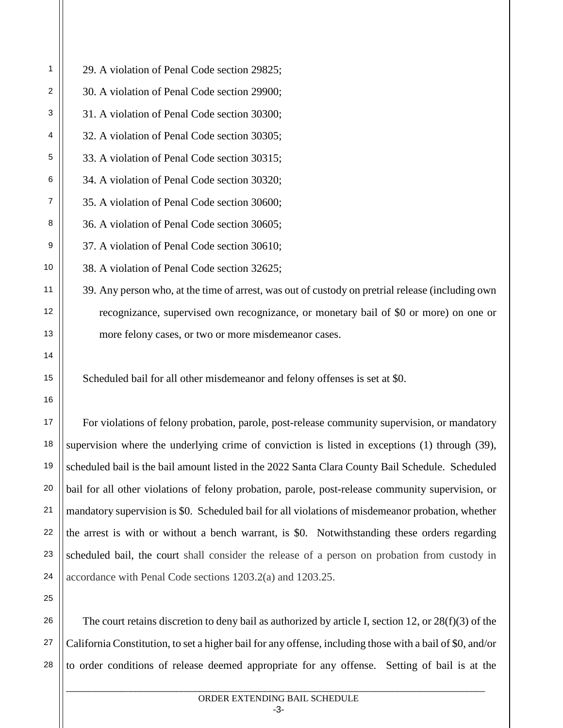29. A violation of Penal Code section 29825;

30. A violation of Penal Code section 29900;

31. A violation of Penal Code section 30300;

32. A violation of Penal Code section 30305;

33. A violation of Penal Code section 30315;

34. A violation of Penal Code section 30320;

35. A violation of Penal Code section 30600;

36. A violation of Penal Code section 30605;

37. A violation of Penal Code section 30610;

38. A violation of Penal Code section 32625;

39. Any person who, at the time of arrest, was out of custody on pretrial release (including own recognizance, supervised own recognizance, or monetary bail of \$0 or more) on one or more felony cases, or two or more misdemeanor cases.

Scheduled bail for all other misdemeanor and felony offenses is set at \$0.

For violations of felony probation, parole, post-release community supervision, or mandatory supervision where the underlying crime of conviction is listed in exceptions (1) through (39), scheduled bail is the bail amount listed in the 2022 Santa Clara County Bail Schedule. Scheduled bail for all other violations of felony probation, parole, post-release community supervision, or mandatory supervision is \$0. Scheduled bail for all violations of misdemeanor probation, whether the arrest is with or without a bench warrant, is \$0. Notwithstanding these orders regarding scheduled bail, the court shall consider the release of a person on probation from custody in accordance with Penal Code sections 1203.2(a) and 1203.25.

The court retains discretion to deny bail as authorized by article I, section 12, or 28(f)(3) of the California Constitution, to set a higher bail for any offense, including those with a bail of \$0, and/or to order conditions of release deemed appropriate for any offense. Setting of bail is at the